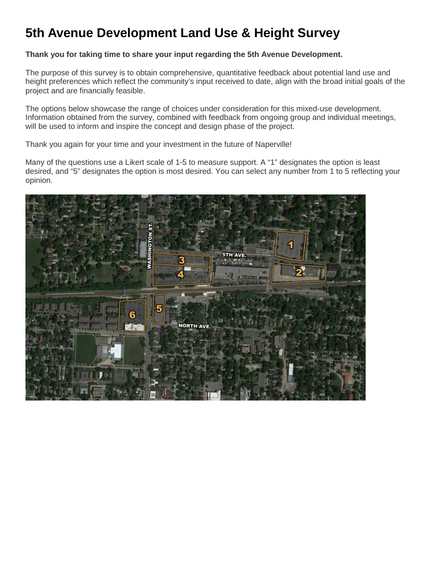# **5th Avenue Development Land Use & Height Survey**

## **Thank you for taking time to share your input regarding the 5th Avenue Development.**

The purpose of this survey is to obtain comprehensive, quantitative feedback about potential land use and height preferences which reflect the community's input received to date, align with the broad initial goals of the project and are financially feasible.

The options below showcase the range of choices under consideration for this mixed-use development. Information obtained from the survey, combined with feedback from ongoing group and individual meetings, will be used to inform and inspire the concept and design phase of the project.

Thank you again for your time and your investment in the future of Naperville!

Many of the questions use a Likert scale of 1-5 to measure support. A "1" designates the option is least desired, and "5" designates the option is most desired. You can select any number from 1 to 5 reflecting your opinion.

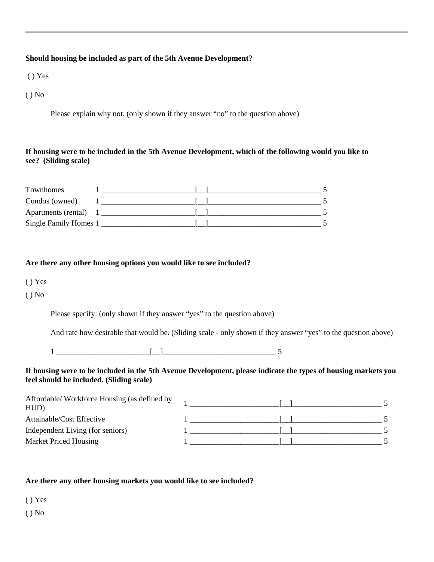#### **Should housing be included as part of the 5th Avenue Development?**

( ) Yes

( ) No

Please explain why not. (only shown if they answer "no" to the question above)

#### **If housing were to be included in the 5th Avenue Development, which of the following would you like to see? (Sliding scale)**

| Townhomes             |  |  |
|-----------------------|--|--|
| Condos (owned)        |  |  |
| Apartments (rental)   |  |  |
| Single Family Homes 1 |  |  |

#### **Are there any other housing options you would like to see included?**

- ( ) Yes
- ( ) No

Please specify: (only shown if they answer "yes" to the question above)

And rate how desirable that would be. (Sliding scale - only shown if they answer "yes" to the question above)

 $\begin{array}{c} \hline 1 \end{array}$ 

#### **If housing were to be included in the 5th Avenue Development, please indicate the types of housing markets you feel should be included. (Sliding scale)**

| Affordable/ Workforce Housing (as defined by<br>HUD) |  |  |
|------------------------------------------------------|--|--|
| Attainable/Cost Effective                            |  |  |
| Independent Living (for seniors)                     |  |  |
| Market Priced Housing                                |  |  |

#### **Are there any other housing markets you would like to see included?**

( ) Yes

 $()$  No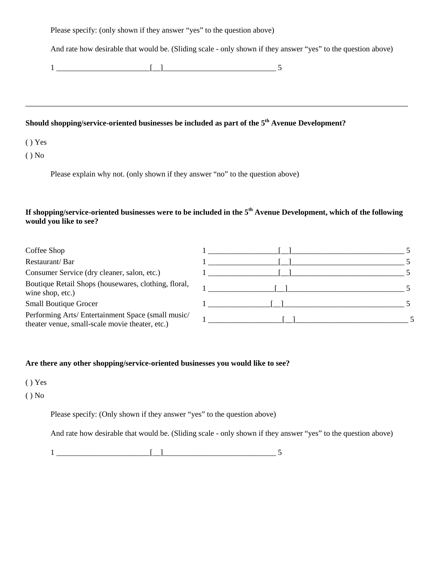Please specify: (only shown if they answer "yes" to the question above)

And rate how desirable that would be. (Sliding scale - only shown if they answer "yes" to the question above)

 $1 \qquad \qquad \qquad$   $\qquad \qquad$   $\qquad \qquad$   $\qquad \qquad$   $\qquad \qquad$  5

## Should shopping/service-oriented businesses be included as part of the 5<sup>th</sup> Avenue Development?

( ) Yes

( ) No

Please explain why not. (only shown if they answer "no" to the question above)

## **If shopping/service-oriented businesses were to be included in the 5th Avenue Development, which of the following would you like to see?**

| Coffee Shop                                                                                           |  |  |
|-------------------------------------------------------------------------------------------------------|--|--|
| Restaurant/Bar                                                                                        |  |  |
| Consumer Service (dry cleaner, salon, etc.)                                                           |  |  |
| Boutique Retail Shops (housewares, clothing, floral,<br>wine shop, etc.)                              |  |  |
| <b>Small Boutique Grocer</b>                                                                          |  |  |
| Performing Arts/ Entertainment Space (small music/<br>theater venue, small-scale movie theater, etc.) |  |  |

#### **Are there any other shopping/service-oriented businesses you would like to see?**

( ) Yes

( ) No

Please specify: (Only shown if they answer "yes" to the question above)

And rate how desirable that would be. (Sliding scale - only shown if they answer "yes" to the question above)

1 \_\_\_\_\_\_\_\_\_\_\_\_\_\_\_\_\_\_\_\_\_\_\_\_[\_\_]\_\_\_\_\_\_\_\_\_\_\_\_\_\_\_\_\_\_\_\_\_\_\_\_\_\_\_\_\_ 5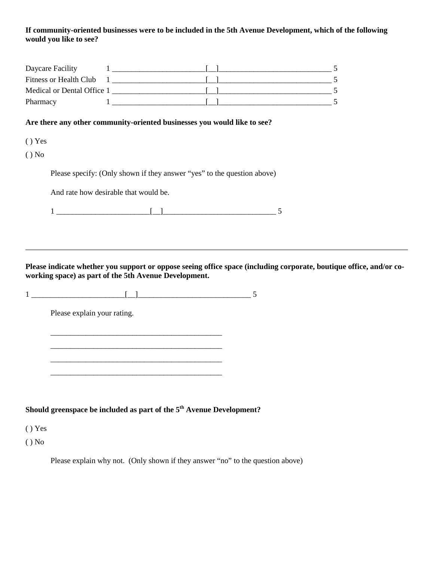#### **If community-oriented businesses were to be included in the 5th Avenue Development, which of the following would you like to see?**

| Daycare Facility           |  |  |
|----------------------------|--|--|
| Fitness or Health Club     |  |  |
| Medical or Dental Office 1 |  |  |
| Pharmacy                   |  |  |

#### **Are there any other community-oriented businesses you would like to see?**

( ) Yes

( ) No

Please specify: (Only shown if they answer "yes" to the question above)

And rate how desirable that would be.

 $1 \_{}$ 

**Please indicate whether you support or oppose seeing office space (including corporate, boutique office, and/or coworking space) as part of the 5th Avenue Development.**

 $1 \_{} \_{}$ 

\_\_\_\_\_\_\_\_\_\_\_\_\_\_\_\_\_\_\_\_\_\_\_\_\_\_\_\_\_\_\_\_\_\_\_\_\_\_\_\_\_\_\_\_ \_\_\_\_\_\_\_\_\_\_\_\_\_\_\_\_\_\_\_\_\_\_\_\_\_\_\_\_\_\_\_\_\_\_\_\_\_\_\_\_\_\_\_\_ \_\_\_\_\_\_\_\_\_\_\_\_\_\_\_\_\_\_\_\_\_\_\_\_\_\_\_\_\_\_\_\_\_\_\_\_\_\_\_\_\_\_\_\_

Please explain your rating.

**Should greenspace be included as part of the 5th Avenue Development?**

( ) Yes

 $()$  No

Please explain why not. (Only shown if they answer "no" to the question above)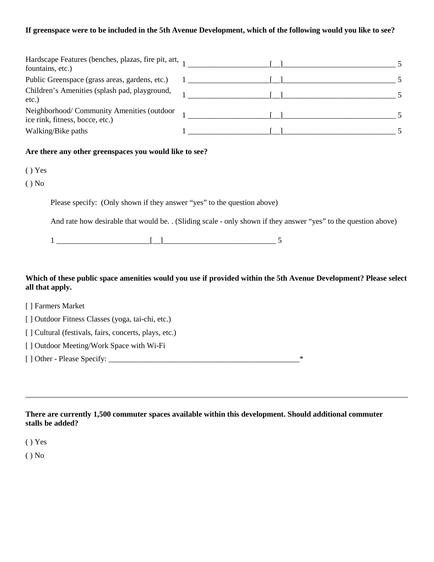#### **If greenspace were to be included in the 5th Avenue Development, which of the following would you like to see?**

| Hardscape Features (benches, plazas, fire pit, art,<br>fountains, etc.)       |  |  |
|-------------------------------------------------------------------------------|--|--|
| Public Greenspace (grass areas, gardens, etc.)                                |  |  |
| Children's Amenities (splash pad, playground,<br>$etc.$ )                     |  |  |
| Neighborhood/ Community Amenities (outdoor<br>ice rink, fitness, bocce, etc.) |  |  |
| Walking/Bike paths                                                            |  |  |

#### **Are there any other greenspaces you would like to see?**

- ( ) Yes
- ( ) No

Please specify: (Only shown if they answer "yes" to the question above)

And rate how desirable that would be. . (Sliding scale - only shown if they answer "yes" to the question above)

### **Which of these public space amenities would you use if provided within the 5th Avenue Development? Please select all that apply.**

| [ ] Farmers Market                                    |   |
|-------------------------------------------------------|---|
| [] Outdoor Fitness Classes (yoga, tai-chi, etc.)      |   |
| [] Cultural (festivals, fairs, concerts, plays, etc.) |   |
| [] Outdoor Meeting/Work Space with Wi-Fi              |   |
| [] Other - Please Specify:                            | ∗ |
|                                                       |   |

**There are currently 1,500 commuter spaces available within this development. Should additional commuter stalls be added?**

( ) Yes

( ) No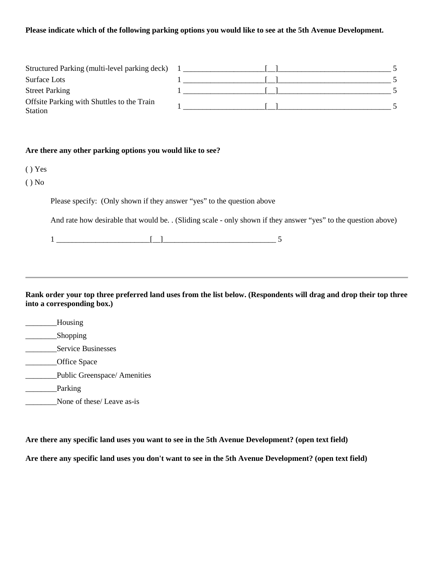#### **Please indicate which of the following parking options you would like to see at the 5th Avenue Development.**

| Structured Parking (multi-level parking deck)         |  |  |
|-------------------------------------------------------|--|--|
| Surface Lots                                          |  |  |
| <b>Street Parking</b>                                 |  |  |
| Offsite Parking with Shuttles to the Train<br>Station |  |  |

#### **Are there any other parking options you would like to see?**

- ( ) Yes
- ( ) No

Please specify: (Only shown if they answer "yes" to the question above

And rate how desirable that would be. . (Sliding scale - only shown if they answer "yes" to the question above)

 $1 \qquad \qquad$   $\qquad \qquad$   $\qquad \qquad$   $\qquad \qquad$   $\qquad \qquad$  5

**Rank order your top three preferred land uses from the list below. (Respondents will drag and drop their top three into a corresponding box.)**

- \_\_\_\_\_\_\_\_Housing
- \_\_\_\_\_\_\_\_\_\_\_Shopping
- \_\_\_\_\_\_\_\_Service Businesses
- \_\_\_\_\_\_\_\_Office Space
- \_\_\_\_\_\_\_\_Public Greenspace/ Amenities
- \_\_\_\_\_\_\_\_\_\_Parking
- None of these/ Leave as-is

**Are there any specific land uses you want to see in the 5th Avenue Development? (open text field)**

**Are there any specific land uses you don't want to see in the 5th Avenue Development? (open text field)**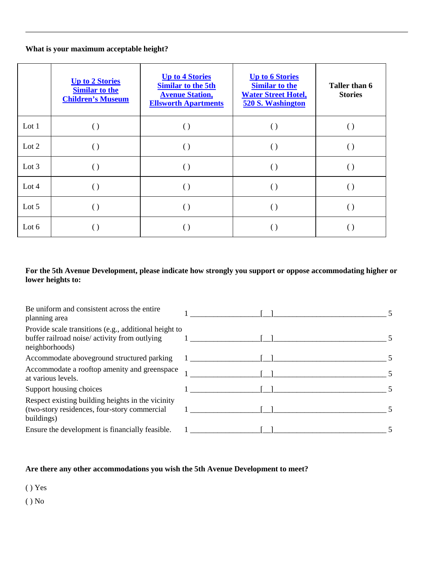## **What is your maximum acceptable height?**

|         | <b>Up to 2 Stories</b><br><b>Similar to the</b><br><b>Children's Museum</b> | <b>Up to 4 Stories</b><br><b>Similar to the 5th</b><br><b>Avenue Station,</b><br><b>Ellsworth Apartments</b> | <b>Up to 6 Stories</b><br><b>Similar to the</b><br><b>Water Street Hotel,</b><br>520 S. Washington | Taller than 6<br><b>Stories</b> |
|---------|-----------------------------------------------------------------------------|--------------------------------------------------------------------------------------------------------------|----------------------------------------------------------------------------------------------------|---------------------------------|
| Lot $1$ |                                                                             |                                                                                                              |                                                                                                    |                                 |
| Lot $2$ |                                                                             | $\left( \ \right)$                                                                                           |                                                                                                    | ( )                             |
| Lot $3$ |                                                                             | $\left( \ \right)$                                                                                           |                                                                                                    | ( )                             |
| Lot $4$ |                                                                             | $\left(\right)$                                                                                              |                                                                                                    | $(\ )$                          |
| Lot $5$ |                                                                             |                                                                                                              |                                                                                                    |                                 |
| Lot $6$ |                                                                             |                                                                                                              |                                                                                                    |                                 |

## **For the 5th Avenue Development, please indicate how strongly you support or oppose accommodating higher or lower heights to:**

| Be uniform and consistent across the entire<br>planning area                                                             |  |
|--------------------------------------------------------------------------------------------------------------------------|--|
| Provide scale transitions (e.g., additional height to<br>buffer railroad noise/ activity from outlying<br>neighborhoods) |  |
| Accommodate aboveground structured parking                                                                               |  |
| Accommodate a rooftop amenity and greenspace<br>at various levels.                                                       |  |
| Support housing choices                                                                                                  |  |
| Respect existing building heights in the vicinity<br>(two-story residences, four-story commercial<br>buildings)          |  |
| Ensure the development is financially feasible.                                                                          |  |

## **Are there any other accommodations you wish the 5th Avenue Development to meet?**

( ) Yes

( ) No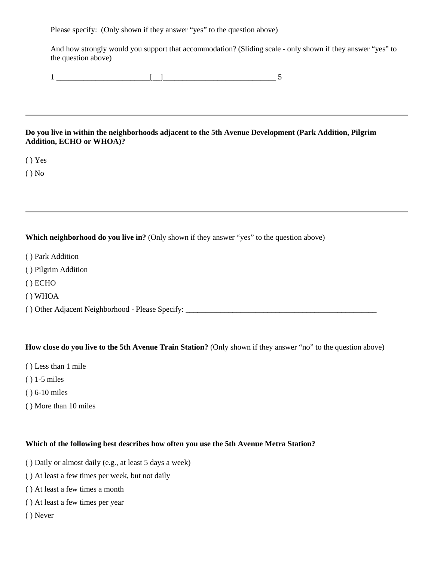Please specify: (Only shown if they answer "yes" to the question above)

And how strongly would you support that accommodation? (Sliding scale - only shown if they answer "yes" to the question above)

1 \_\_\_\_\_\_\_\_\_\_\_\_\_\_\_\_\_\_\_\_\_\_\_\_[\_\_]\_\_\_\_\_\_\_\_\_\_\_\_\_\_\_\_\_\_\_\_\_\_\_\_\_\_\_\_\_ 5

#### **Do you live in within the neighborhoods adjacent to the 5th Avenue Development (Park Addition, Pilgrim Addition, ECHO or WHOA)?**

( ) Yes

 $()$  No

#### **Which neighborhood do you live in?** (Only shown if they answer "yes" to the question above)

- ( ) Park Addition
- ( ) Pilgrim Addition
- ( ) ECHO
- ( ) WHOA

( ) Other Adjacent Neighborhood - Please Specify: \_\_\_\_\_\_\_\_\_\_\_\_\_\_\_\_\_\_\_\_\_\_\_\_\_\_\_\_\_\_\_\_\_\_\_\_\_\_\_\_\_\_\_\_\_\_\_\_\_

#### **How close do you live to the 5th Avenue Train Station?** (Only shown if they answer "no" to the question above)

- ( ) Less than 1 mile
- ( ) 1-5 miles
- ( ) 6-10 miles
- ( ) More than 10 miles

#### **Which of the following best describes how often you use the 5th Avenue Metra Station?**

- ( ) Daily or almost daily (e.g., at least 5 days a week)
- ( ) At least a few times per week, but not daily
- ( ) At least a few times a month
- ( ) At least a few times per year
- ( ) Never